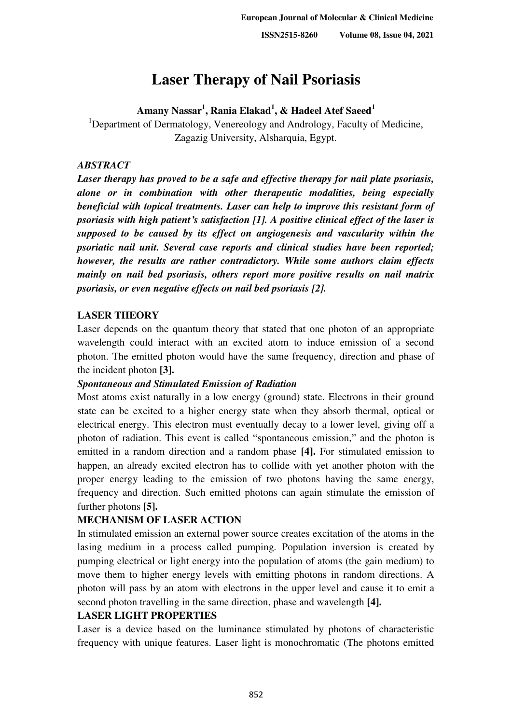# **Laser Therapy of Nail Psoriasis**

# **Amany Nassar<sup>1</sup> , Rania Elakad<sup>1</sup> , & Hadeel Atef Saeed<sup>1</sup>**

<sup>1</sup>Department of Dermatology, Venereology and Andrology, Faculty of Medicine, Zagazig University, Alsharquia, Egypt.

# *ABSTRACT*

*Laser therapy has proved to be a safe and effective therapy for nail plate psoriasis, alone or in combination with other therapeutic modalities, being especially beneficial with topical treatments. Laser can help to improve this resistant form of psoriasis with high patient's satisfaction [1]. A positive clinical effect of the laser is supposed to be caused by its effect on angiogenesis and vascularity within the psoriatic nail unit. Several case reports and clinical studies have been reported; however, the results are rather contradictory. While some authors claim effects mainly on nail bed psoriasis, others report more positive results on nail matrix psoriasis, or even negative effects on nail bed psoriasis [2].* 

## **LASER THEORY**

Laser depends on the quantum theory that stated that one photon of an appropriate wavelength could interact with an excited atom to induce emission of a second photon. The emitted photon would have the same frequency, direction and phase of the incident photon **[3].**

## *Spontaneous and Stimulated Emission of Radiation*

Most atoms exist naturally in a low energy (ground) state. Electrons in their ground state can be excited to a higher energy state when they absorb thermal, optical or electrical energy. This electron must eventually decay to a lower level, giving off a photon of radiation. This event is called "spontaneous emission," and the photon is emitted in a random direction and a random phase **[4].** For stimulated emission to happen, an already excited electron has to collide with yet another photon with the proper energy leading to the emission of two photons having the same energy, frequency and direction. Such emitted photons can again stimulate the emission of further photons **[5].**

## **MECHANISM OF LASER ACTION**

In stimulated emission an external power source creates excitation of the atoms in the lasing medium in a process called pumping. Population inversion is created by pumping electrical or light energy into the population of atoms (the gain medium) to move them to higher energy levels with emitting photons in random directions. A photon will pass by an atom with electrons in the upper level and cause it to emit a second photon travelling in the same direction, phase and wavelength **[4].**

## **LASER LIGHT PROPERTIES**

Laser is a device based on the luminance stimulated by photons of characteristic frequency with unique features. Laser light is monochromatic (The photons emitted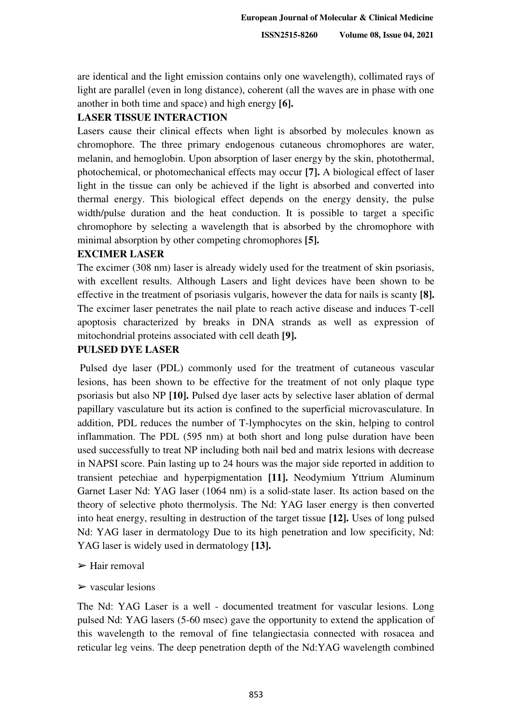**ISSN2515-8260 Volume 08, Issue 04, 2021**

are identical and the light emission contains only one wavelength), collimated rays of light are parallel (even in long distance), coherent (all the waves are in phase with one another in both time and space) and high energy **[6].**

#### **LASER TISSUE INTERACTION**

Lasers cause their clinical effects when light is absorbed by molecules known as chromophore. The three primary endogenous cutaneous chromophores are water, melanin, and hemoglobin. Upon absorption of laser energy by the skin, photothermal, photochemical, or photomechanical effects may occur **[7].** A biological effect of laser light in the tissue can only be achieved if the light is absorbed and converted into thermal energy. This biological effect depends on the energy density, the pulse width/pulse duration and the heat conduction. It is possible to target a specific chromophore by selecting a wavelength that is absorbed by the chromophore with minimal absorption by other competing chromophores **[5].** 

## **EXCIMER LASER**

The excimer (308 nm) laser is already widely used for the treatment of skin psoriasis, with excellent results. Although Lasers and light devices have been shown to be effective in the treatment of psoriasis vulgaris, however the data for nails is scanty **[8].** The excimer laser penetrates the nail plate to reach active disease and induces T-cell apoptosis characterized by breaks in DNA strands as well as expression of mitochondrial proteins associated with cell death **[9].** 

## **PULSED DYE LASER**

 Pulsed dye laser (PDL) commonly used for the treatment of cutaneous vascular lesions, has been shown to be effective for the treatment of not only plaque type psoriasis but also NP **[10].** Pulsed dye laser acts by selective laser ablation of dermal papillary vasculature but its action is confined to the superficial microvasculature. In addition, PDL reduces the number of T-lymphocytes on the skin, helping to control inflammation. The PDL (595 nm) at both short and long pulse duration have been used successfully to treat NP including both nail bed and matrix lesions with decrease in NAPSI score. Pain lasting up to 24 hours was the major side reported in addition to transient petechiae and hyperpigmentation **[11].** Neodymium Yttrium Aluminum Garnet Laser Nd: YAG laser (1064 nm) is a solid-state laser. Its action based on the theory of selective photo thermolysis. The Nd: YAG laser energy is then converted into heat energy, resulting in destruction of the target tissue **[12].** Uses of long pulsed Nd: YAG laser in dermatology Due to its high penetration and low specificity, Nd: YAG laser is widely used in dermatology **[13].** 

#### $\triangleright$  Hair removal

#### $\triangleright$  vascular lesions

The Nd: YAG Laser is a well - documented treatment for vascular lesions. Long pulsed Nd: YAG lasers (5-60 msec) gave the opportunity to extend the application of this wavelength to the removal of fine telangiectasia connected with rosacea and reticular leg veins. The deep penetration depth of the Nd:YAG wavelength combined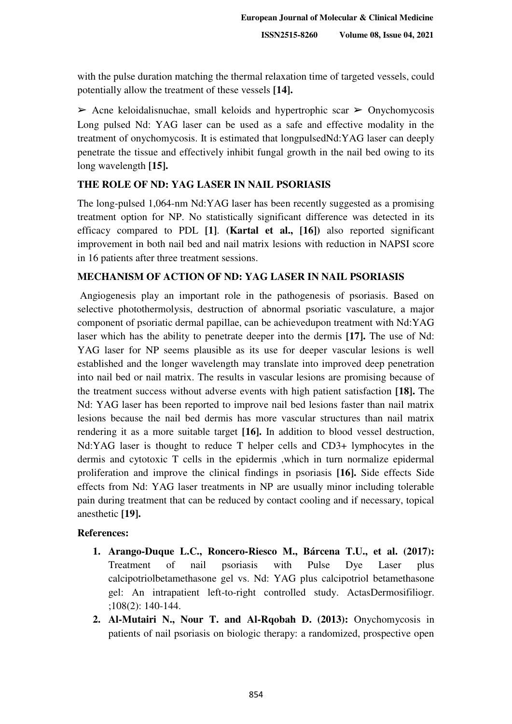with the pulse duration matching the thermal relaxation time of targeted vessels, could potentially allow the treatment of these vessels **[14].**

 $\triangleright$  Acne keloidalisnuchae, small keloids and hypertrophic scar  $\triangleright$  Onychomycosis Long pulsed Nd: YAG laser can be used as a safe and effective modality in the treatment of onychomycosis. It is estimated that longpulsedNd:YAG laser can deeply penetrate the tissue and effectively inhibit fungal growth in the nail bed owing to its long wavelength **[15].** 

## **THE ROLE OF ND: YAG LASER IN NAIL PSORIASIS**

The long-pulsed 1,064-nm Nd:YAG laser has been recently suggested as a promising treatment option for NP. No statistically significant difference was detected in its efficacy compared to PDL **[1]**. **(Kartal et al., [16])** also reported significant improvement in both nail bed and nail matrix lesions with reduction in NAPSI score in 16 patients after three treatment sessions.

## **MECHANISM OF ACTION OF ND: YAG LASER IN NAIL PSORIASIS**

 Angiogenesis play an important role in the pathogenesis of psoriasis. Based on selective photothermolysis, destruction of abnormal psoriatic vasculature, a major component of psoriatic dermal papillae, can be achievedupon treatment with Nd:YAG laser which has the ability to penetrate deeper into the dermis **[17].** The use of Nd: YAG laser for NP seems plausible as its use for deeper vascular lesions is well established and the longer wavelength may translate into improved deep penetration into nail bed or nail matrix. The results in vascular lesions are promising because of the treatment success without adverse events with high patient satisfaction **[18].** The Nd: YAG laser has been reported to improve nail bed lesions faster than nail matrix lesions because the nail bed dermis has more vascular structures than nail matrix rendering it as a more suitable target **[16].** In addition to blood vessel destruction, Nd:YAG laser is thought to reduce T helper cells and CD3+ lymphocytes in the dermis and cytotoxic T cells in the epidermis ,which in turn normalize epidermal proliferation and improve the clinical findings in psoriasis **[16].** Side effects Side effects from Nd: YAG laser treatments in NP are usually minor including tolerable pain during treatment that can be reduced by contact cooling and if necessary, topical anesthetic **[19].** 

#### **References:**

- **1. Arango-Duque L.C., Roncero-Riesco M., Bárcena T.U., et al. (2017):**  Treatment of nail psoriasis with Pulse Dye Laser plus calcipotriolbetamethasone gel vs. Nd: YAG plus calcipotriol betamethasone gel: An intrapatient left-to-right controlled study. ActasDermosifiliogr. ;108(2): 140-144.
- **2. Al-Mutairi N., Nour T. and Al-Rqobah D. (2013):** Onychomycosis in patients of nail psoriasis on biologic therapy: a randomized, prospective open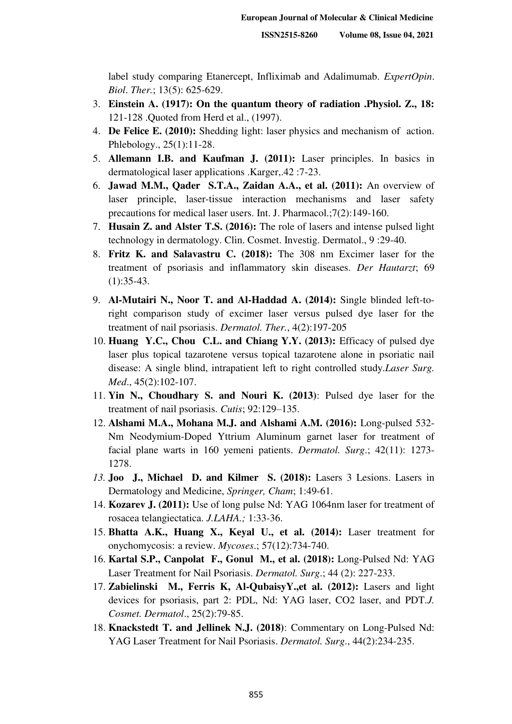label study comparing Etanercept, Infliximab and Adalimumab. *ExpertOpin*. *Biol*. *Ther.*; 13(5): 625-629.

- 3. **Einstein A. (1917): On the quantum theory of radiation .Physiol. Z., 18:**  121-128 .Quoted from Herd et al., (1997).
- 4. **De Felice E. (2010):** Shedding light: laser physics and mechanism of action. Phlebology., 25(1):11-28.
- 5. **Allemann I.B. and Kaufman J. (2011):** Laser principles. In basics in dermatological laser applications .Karger,.42 :7-23.
- 6. **Jawad M.M., Qader S.T.A., Zaidan A.A., et al. (2011):** An overview of laser principle, laser-tissue interaction mechanisms and laser safety precautions for medical laser users. Int. J. Pharmacol.;7(2):149-160.
- 7. **Husain Z. and Alster T.S. (2016):** The role of lasers and intense pulsed light technology in dermatology. Clin. Cosmet. Investig. Dermatol., 9 :29-40.
- 8. **Fritz K. and Salavastru C. (2018):** The 308 nm Excimer laser for the treatment of psoriasis and inflammatory skin diseases. *Der Hautarzt*; 69 (1):35-43.
- 9. **Al-Mutairi N., Noor T. and Al-Haddad A. (2014):** Single blinded left-toright comparison study of excimer laser versus pulsed dye laser for the treatment of nail psoriasis. *Dermatol. Ther.*, 4(2):197-205
- 10. **Huang Y.C., Chou C.L. and Chiang Y.Y. (2013):** Efficacy of pulsed dye laser plus topical tazarotene versus topical tazarotene alone in psoriatic nail disease: A single blind, intrapatient left to right controlled study.*Laser Surg. Med*., 45(2):102-107.
- 11. **Yin N., Choudhary S. and Nouri K. (2013)**: Pulsed dye laser for the treatment of nail psoriasis. *Cutis*; 92:129–135.
- 12. **Alshami M.A., Mohana M.J. and Alshami A.M. (2016):** Long-pulsed 532- Nm Neodymium-Doped Yttrium Aluminum garnet laser for treatment of facial plane warts in 160 yemeni patients. *Dermatol. Surg*.; 42(11): 1273- 1278.
- *13.* **Joo J., Michael D. and Kilmer S. (2018):** Lasers 3 Lesions. Lasers in Dermatology and Medicine, *Springer, Cham*; 1:49-61.
- 14. **Kozarev J. (2011):** Use of long pulse Nd: YAG 1064nm laser for treatment of rosacea telangiectatica. *J.LAHA.;* 1:33-36.
- 15. **Bhatta A.K., Huang X., Keyal U., et al. (2014):** Laser treatment for onychomycosis: a review. *Mycoses*.; 57(12):734-740.
- 16. **Kartal S.P., Canpolat F., Gonul M., et al. (2018):** Long-Pulsed Nd: YAG Laser Treatment for Nail Psoriasis. *Dermatol. Surg*.; 44 (2): 227-233.
- 17. **Zabielinski M., Ferris K, Al-QubaisyY.,et al. (2012):** Lasers and light devices for psoriasis, part 2: PDL, Nd: YAG laser, CO2 laser, and PDT.*J. Cosmet. Dermatol*., 25(2):79-85.
- 18. **Knackstedt T. and Jellinek N.J. (2018)**: Commentary on Long-Pulsed Nd: YAG Laser Treatment for Nail Psoriasis. *Dermatol. Surg*., 44(2):234-235.